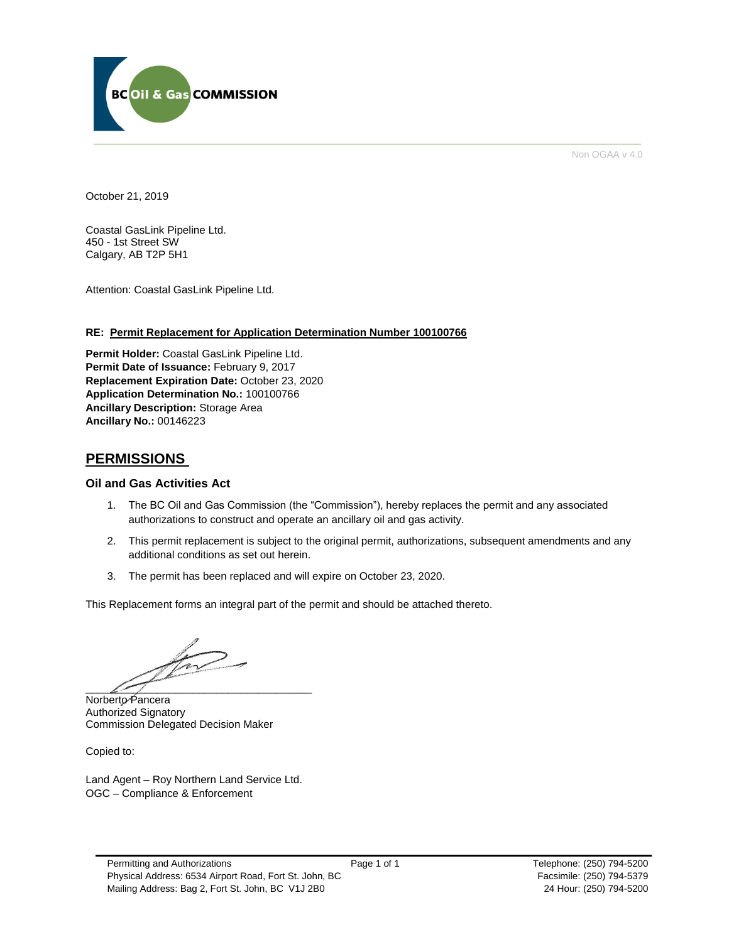

Non OGAA v 4.0

October 21, 2019

Coastal GasLink Pipeline Ltd. 450 - 1st Street SW Calgary, AB T2P 5H1

Attention: Coastal GasLink Pipeline Ltd.

#### **RE: Permit Replacement for Application Determination Number 100100766**

**Permit Holder:** Coastal GasLink Pipeline Ltd. Permit Date of Issuance: February 9, 2017 **Replacement Expiration Date:** October 23, 2020 **Application Determination No.:** 100100766 **Ancillary Description:** Storage Area **Ancillary No.:** 00146223

### **PERMISSIONS**

#### **Oil and Gas Activities Act**

- 1. The BC Oil and Gas Commission (the "Commission"), hereby replaces the permit and any associated authorizations to construct and operate an ancillary oil and gas activity.
- 2. This permit replacement is subject to the original permit, authorizations, subsequent amendments and any additional conditions as set out herein.
- 3. The permit has been replaced and will expire on October 23, 2020.

This Replacement forms an integral part of the permit and should be attached thereto.

 $\overline{\mathcal{L}}$ 

Norberto Pancera Authorized Signatory Commission Delegated Decision Maker

Copied to:

Land Agent – Roy Northern Land Service Ltd. OGC – Compliance & Enforcement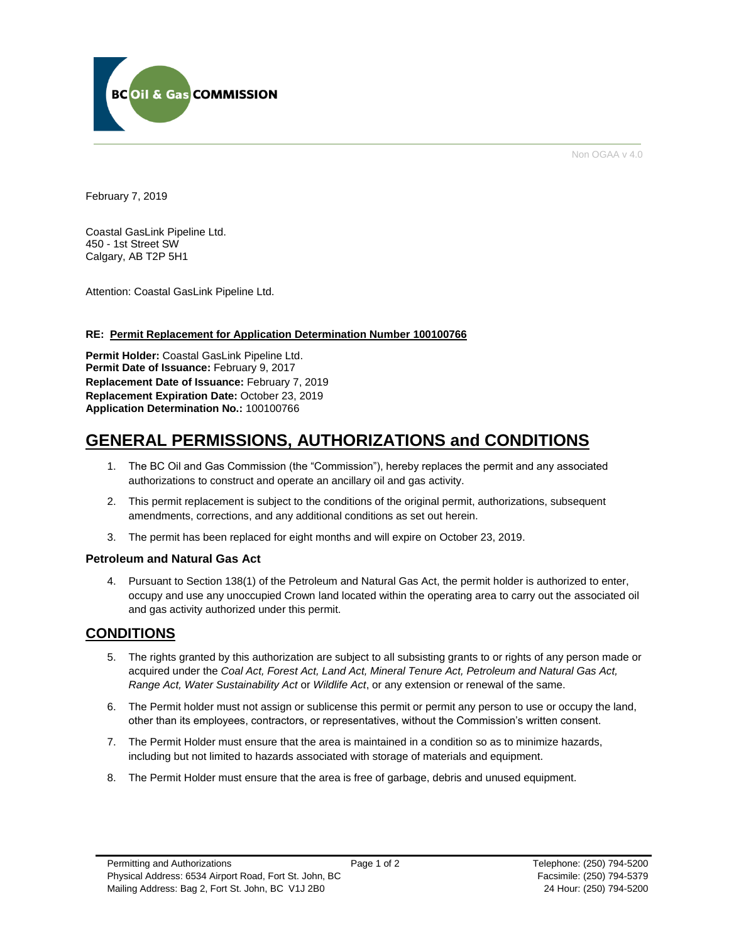

Non OGAA v 4.0

February 7, 2019

Coastal GasLink Pipeline Ltd. 450 - 1st Street SW Calgary, AB T2P 5H1

Attention: Coastal GasLink Pipeline Ltd.

### **RE: Permit Replacement for Application Determination Number 100100766**

**Permit Holder:** Coastal GasLink Pipeline Ltd. Permit Date of Issuance: February 9, 2017 **Replacement Date of Issuance:** February 7, 2019 **Replacement Expiration Date:** October 23, 2019 **Application Determination No.:** 100100766

## **GENERAL PERMISSIONS, AUTHORIZATIONS and CONDITIONS**

- 1. The BC Oil and Gas Commission (the "Commission"), hereby replaces the permit and any associated authorizations to construct and operate an ancillary oil and gas activity.
- 2. This permit replacement is subject to the conditions of the original permit, authorizations, subsequent amendments, corrections, and any additional conditions as set out herein.
- 3. The permit has been replaced for eight months and will expire on October 23, 2019.

### **Petroleum and Natural Gas Act**

4. Pursuant to Section 138(1) of the Petroleum and Natural Gas Act, the permit holder is authorized to enter, occupy and use any unoccupied Crown land located within the operating area to carry out the associated oil and gas activity authorized under this permit.

### **CONDITIONS**

- 5. The rights granted by this authorization are subject to all subsisting grants to or rights of any person made or acquired under the *Coal Act, Forest Act, Land Act, Mineral Tenure Act, Petroleum and Natural Gas Act, Range Act, Water Sustainability Act* or *Wildlife Act*, or any extension or renewal of the same.
- 6. The Permit holder must not assign or sublicense this permit or permit any person to use or occupy the land, other than its employees, contractors, or representatives, without the Commission's written consent.
- 7. The Permit Holder must ensure that the area is maintained in a condition so as to minimize hazards, including but not limited to hazards associated with storage of materials and equipment.
- 8. The Permit Holder must ensure that the area is free of garbage, debris and unused equipment.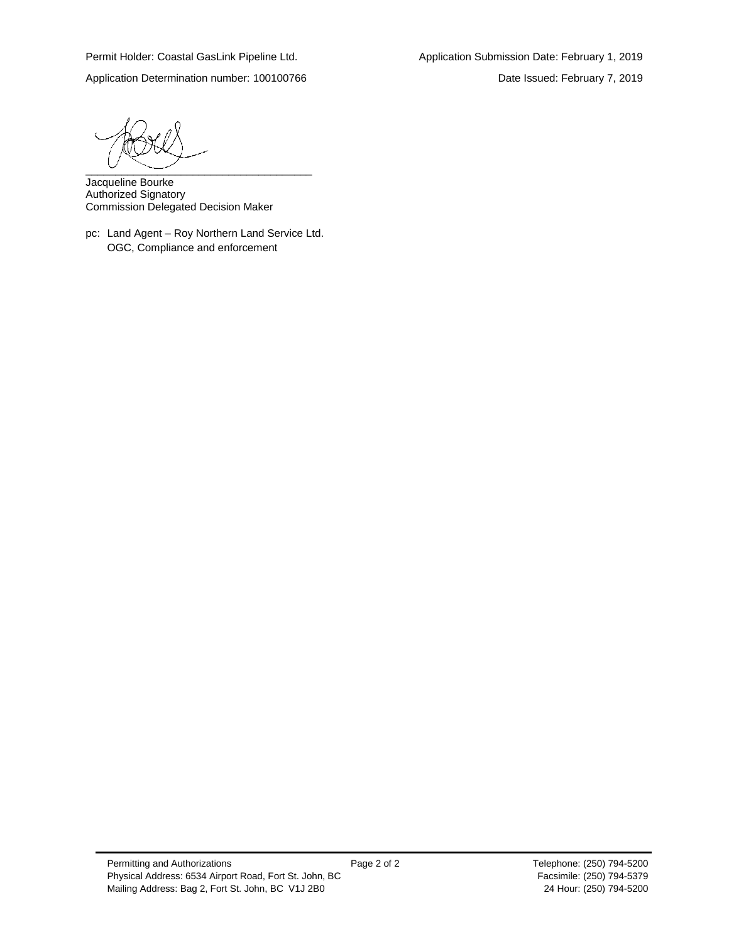Application Determination number: 100100766 Date Issued: February 7, 2019

 $\overbrace{\phantom{aaaaa}}^{a}$ 

Jacqueline Bourke Authorized Signatory Commission Delegated Decision Maker

pc: Land Agent – Roy Northern Land Service Ltd. OGC, Compliance and enforcement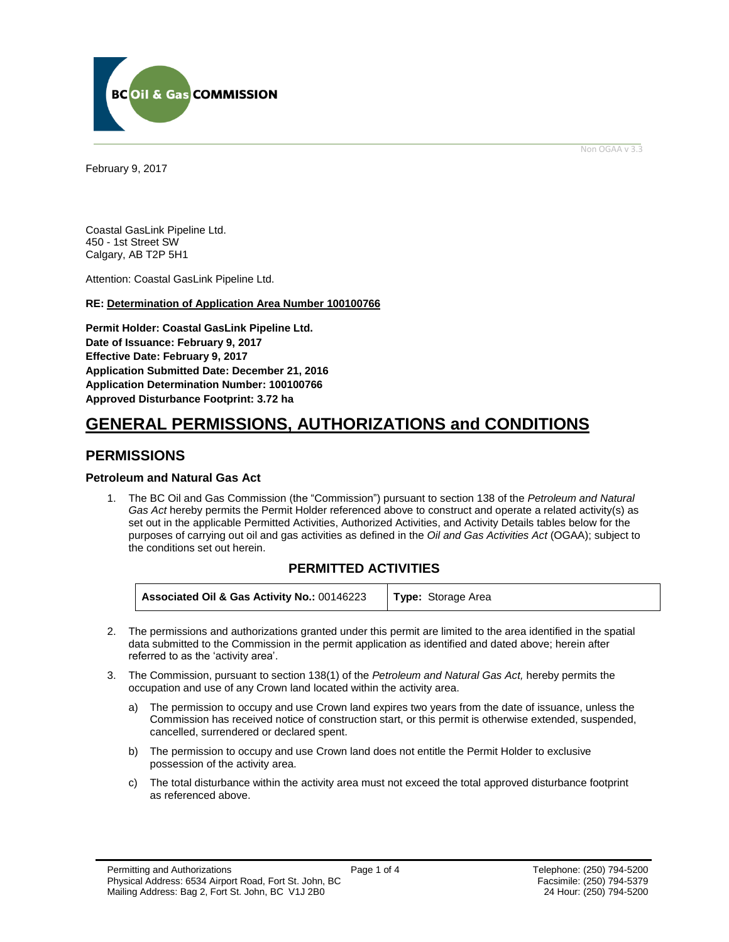

Non OGAA v 3.3

<span id="page-3-0"></span>February 9, 2017

Coastal GasLink Pipeline Ltd. 450 - 1st Street SW Calgary, AB T2P 5H1

Attention: Coastal GasLink Pipeline Ltd.

### **RE: Determination of Application Area Number 100100766**

**Permit Holder: Coastal GasLink Pipeline Ltd. Date of Issuance: February 9, 2017 Effective Date: February 9, 2017 Application Submitted Date: December 21, 2016 Application Determination Number: 100100766 [Approved Disturbance Footprint:](#page-3-0) 3.72 ha**

# **GENERAL [PERMISSIONS,](#page-3-0) AUTHORIZATIONS and CONDITIONS**

### **PERMISSIONS**

### **Petroleum and Natural Gas Act**

1. The BC Oil and Gas Commission (the "Commission") pursuant to section 138 of the *Petroleum and Natural Gas Act* hereby permits the Permit Holder referenced above to construct and operate a related activity(s) as set out in the applicable Permitted Activities, Authorized Activities, and Activity Details tables below for the purposes of carrying out oil and gas activities as defined in the *Oil and Gas Activities Act* (OGAA); subject to the conditions set out herein.

### **PERMITTED ACTIVITIES**

**Associated Oil & Gas Activity No.:** 00146223 **Type:** Storage Area

- 2. The [permissions](#page-3-0) and authorizations granted under this permit are limited to the area identified in the spatial data submitted to the Commission in the permit application as identified and dated above; herein after referred to as the 'activity area'.
- 3. The Commission, pursuant to section 138(1) of the *Petroleum and Natural Gas Act,* hereby permits the occupation and use of any Crown land located within the activity area.
	- a) The permission to occupy and use Crown land expires two years from the date of issuance, unless the Commission has received notice of construction start, or this permit is otherwise extended, suspended, cancelled, surrendered or declared spent.
	- b) The permission to occupy and use Crown land does not entitle the Permit Holder to exclusive possession of the activity area.
	- c) The total disturbance within the activity area must not exceed the total approved disturbance footprint as referenced above.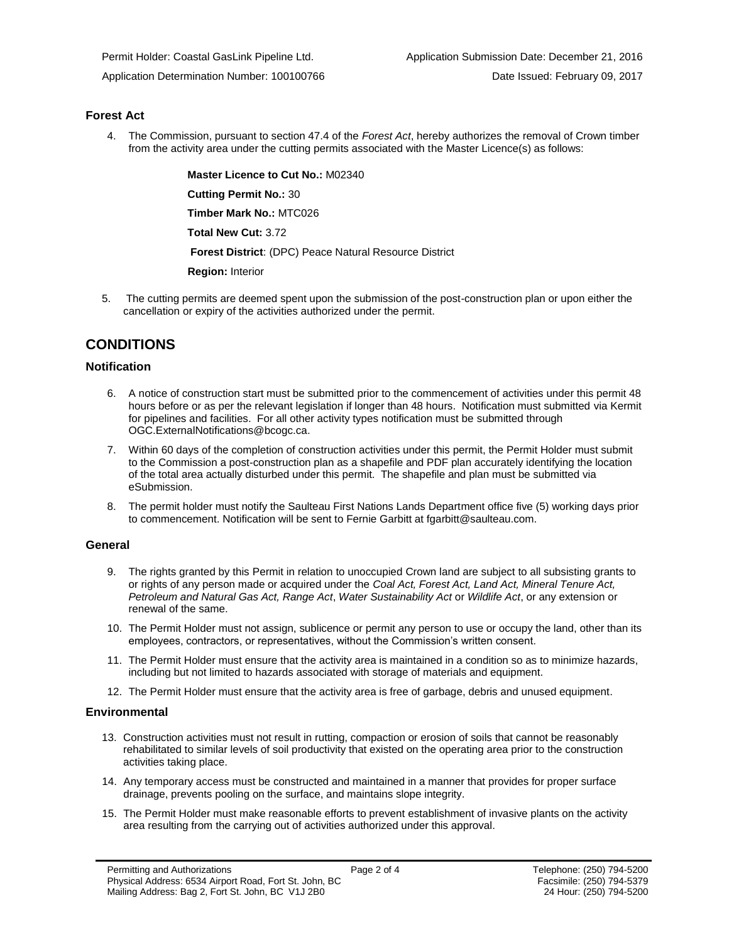### **Forest Act**

4. The Commission, pursuant to section 47.4 of the *Forest Act*, hereby [authorizes](#page-3-0) the removal of Crown timber from the activity area under the cutting permits associated with the Master Licence(s) as follows:

**Master Licence to Cut No.:** M02340

**Cutting Permit No.:** 30

**Timber Mark No.:** MTC026

**Total New Cut:** 3.72

**[Forest District](https://ams-crd.bcogc.ca/crd/)**: (DPC) Peace Natural Resource District

**Region:** Interior

5. The cutting permits are deemed spent upon the submission of the post-construction plan or upon either the cancellation or expiry of the activitie[s authorized](#page-3-0) under the permit.

### **CONDITIONS**

### **Notification**

- 6. A notice of construction start must be submitted prior to the commencement of activities under this permit 48 hours before or as per the relevant legislation if longer than 48 hours. Notification must submitted via Kermit for pipelines and facilities. For all other activity types notification must be submitted through [OGC.ExternalNotifications@bcogc.ca.](mailto:OGC.ExternalNotifications@bcogc.ca)
- 7. Within 60 days of the completion of construction activities under this permit, the Permit Holder must submit to the Commission a post-construction plan as a shapefile and PDF plan accurately identifying the location of the total area actually disturbed under this permit. The shapefile and plan must be submitted via eSubmission.
- 8. The permit holder must notify the Saulteau First Nations Lands Department office five (5) working days prior to commencement. Notification will be sent to Fernie Garbitt at fgarbitt@saulteau.com.

### **General**

- 9. The rights granted by this Permit in relation to unoccupied Crown land are subject to all subsisting grants to or rights of any person made or acquired under the *Coal Act, Forest Act, Land Act, Mineral Tenure Act, Petroleum and Natural Gas Act, Range Act*, *Water Sustainability Act* or *Wildlife Act*, or any extension or renewal of the same.
- 10. The Permit Holder must not assign, sublicence or permit any person to use or occupy the land, other than its employees, contractors, or representatives, without the Commission's written consent.
- 11. The Permit Holder must ensure that the activity area is maintained in a condition so as to minimize hazards, including but not limited to hazards associated with storage of materials and equipment.
- 12. The Permit Holder must ensure that the activity area is free of garbage, debris and unused equipment.

### **Environmental**

- 13. Construction activities must not result in rutting, compaction or erosion of soils that cannot be reasonably rehabilitated to similar levels of soil productivity that existed on the operating area prior to the construction activities taking place.
- 14. Any temporary access must be constructed and maintained in a manner that provides for proper surface drainage, prevents pooling on the surface, and maintains slope integrity.
- 15. The Permit Holder must make reasonable efforts to prevent establishment of invasive plants on the activity area resulting from the carrying out of activities authorized under this approval.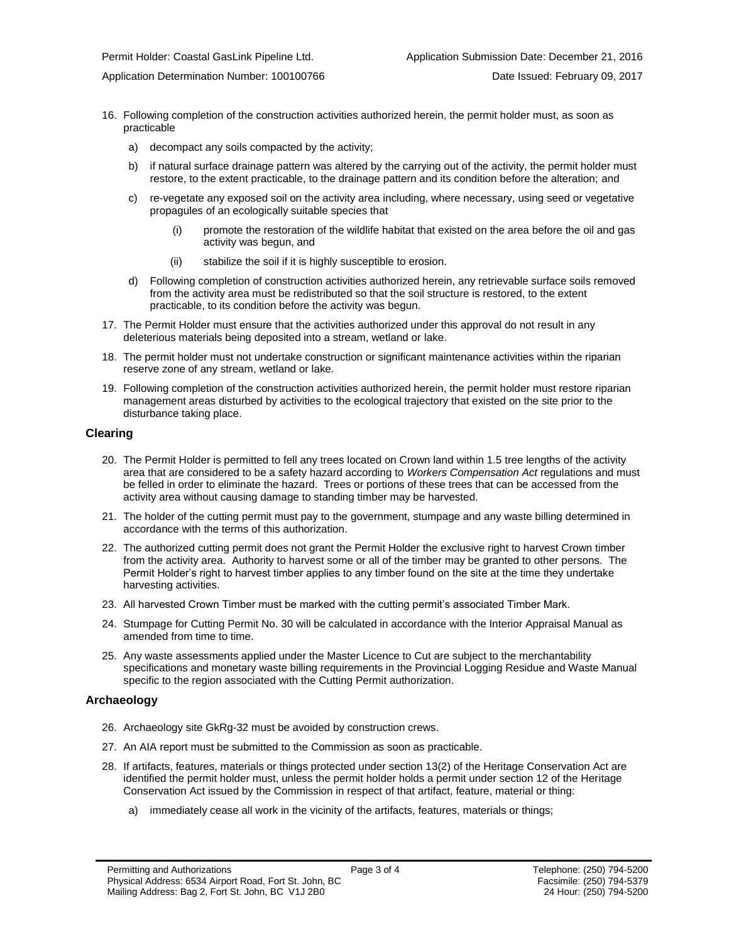Application Determination Number: 100100766 Date Issued: February 09, 2017

- 16. Following completion of the construction activities authorized herein, the permit holder must, as soon as practicable
	- a) decompact any soils compacted by the activity;
	- b) if natural surface drainage pattern was altered by the carrying out of the activity, the permit holder must restore, to the extent practicable, to the drainage pattern and its condition before the alteration; and
	- c) re-vegetate any exposed soil on the activity area including, where necessary, using seed or vegetative propagules of an ecologically suitable species that
		- (i) promote the restoration of the wildlife habitat that existed on the area before the oil and gas activity was begun, and
		- (ii) stabilize the soil if it is highly susceptible to erosion.
	- d) Following completion of construction activities authorized herein, any retrievable surface soils removed from the activity area must be redistributed so that the soil structure is restored, to the extent practicable, to its condition before the activity was begun.
- 17. The Permit Holder must ensure that the activities authorized under this approval do not result in any deleterious materials being deposited into a stream, wetland or lake.
- 18. The permit holder must not undertake construction or significant maintenance activities within the riparian reserve zone of any stream, wetland or lake.
- 19. Following completion of the construction activities authorized herein, the permit holder must restore riparian management areas disturbed by activities to the ecological trajectory that existed on the site prior to the disturbance taking place.

#### **Clearing**

- 20. The Permit Holder is permitted to fell any trees located on Crown land within 1.5 tree lengths of the activity area that are considered to be a safety hazard according to *Workers Compensation Act* regulations and must be felled in order to eliminate the hazard. Trees or portions of these trees that can be accessed from the activity area without causing damage to standing timber may be harvested.
- 21. The holder of the cutting permit must pay to the government, stumpage and any waste billing determined in accordance with the terms of this [authorization.](#page-3-0)
- 22. Th[e authorized](#page-3-0) cutting permit does not grant the Permit Holder the exclusive right to harvest Crown timber from the activity area. Authority to harvest some or all of the timber may be granted to other persons. The Permit Holder's right to harvest timber applies to any timber found on the site at the time they undertake harvesting activities.
- 23. All harvested Crown Timber must be marked with the cutting permit's associated Timber Mark.
- 24. Stumpage for Cutting Permit No. 30 will be calculated in accordance with the Interior Appraisal Manual as amended from time to time.
- 25. Any waste assessments applied under the Master Licence to Cut are subject to the merchantability specifications and monetary waste billing requirements in the Provincial Logging Residue and Waste Manual specific to the region associated with the Cutting Permit [authorization.](#page-3-0)

### **Archaeology**

- 26. Archaeology site GkRg-32 must be avoided by construction crews.
- 27. An AIA report must be submitted to the Commission as soon as practicable.
- 28. If artifacts, features, materials or things protected under section 13(2) of the Heritage Conservation Act are identified the permit holder must, unless the permit holder holds a permit under section 12 of the Heritage Conservation Act issued by the Commission in respect of that artifact, feature, material or thing:
	- a) immediately cease all work in the vicinity of the artifacts, features, materials or things;